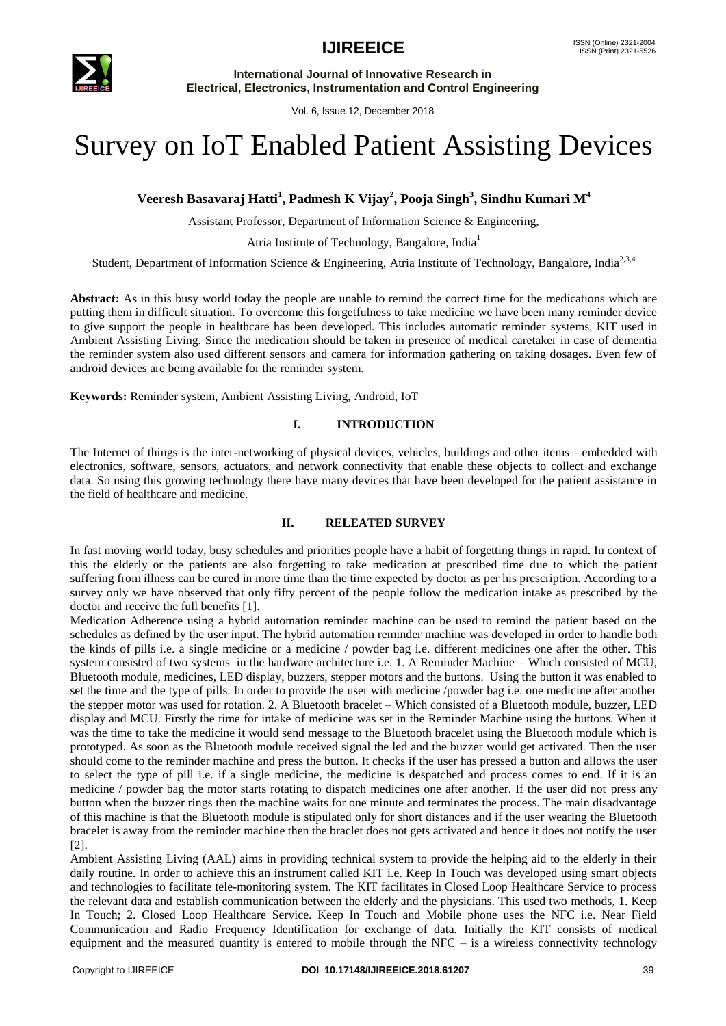

Vol. 6, Issue 12, December 2018

# Survey on IoT Enabled Patient Assisting Devices

# **Veeresh Basavaraj Hatti<sup>1</sup> , Padmesh K Vijay<sup>2</sup> , Pooja Singh<sup>3</sup> , Sindhu Kumari M<sup>4</sup>**

Assistant Professor, Department of Information Science & Engineering,

Atria Institute of Technology, Bangalore, India<sup>1</sup>

Student, Department of Information Science & Engineering, Atria Institute of Technology, Bangalore, India<sup>2,3,4</sup>

**Abstract:** As in this busy world today the people are unable to remind the correct time for the medications which are putting them in difficult situation. To overcome this forgetfulness to take medicine we have been many reminder device to give support the people in healthcare has been developed. This includes automatic reminder systems, KIT used in Ambient Assisting Living. Since the medication should be taken in presence of medical caretaker in case of dementia the reminder system also used different sensors and camera for information gathering on taking dosages. Even few of android devices are being available for the reminder system.

**Keywords:** Reminder system, Ambient Assisting Living, Android, IoT

## **I. INTRODUCTION**

The Internet of things is the inter-networking of physical devices, vehicles, buildings and other items—embedded with electronics, software, sensors, actuators, and network connectivity that enable these objects to collect and exchange data. So using this growing technology there have many devices that have been developed for the patient assistance in the field of healthcare and medicine.

## **II. RELEATED SURVEY**

In fast moving world today, busy schedules and priorities people have a habit of forgetting things in rapid. In context of this the elderly or the patients are also forgetting to take medication at prescribed time due to which the patient suffering from illness can be cured in more time than the time expected by doctor as per his prescription. According to a survey only we have observed that only fifty percent of the people follow the medication intake as prescribed by the doctor and receive the full benefits [1].

Medication Adherence using a hybrid automation reminder machine can be used to remind the patient based on the schedules as defined by the user input. The hybrid automation reminder machine was developed in order to handle both the kinds of pills i.e. a single medicine or a medicine / powder bag i.e. different medicines one after the other. This system consisted of two systems in the hardware architecture i.e. 1. A Reminder Machine – Which consisted of MCU, Bluetooth module, medicines, LED display, buzzers, stepper motors and the buttons. Using the button it was enabled to set the time and the type of pills. In order to provide the user with medicine /powder bag i.e. one medicine after another the stepper motor was used for rotation. 2. A Bluetooth bracelet – Which consisted of a Bluetooth module, buzzer, LED display and MCU. Firstly the time for intake of medicine was set in the Reminder Machine using the buttons. When it was the time to take the medicine it would send message to the Bluetooth bracelet using the Bluetooth module which is prototyped. As soon as the Bluetooth module received signal the led and the buzzer would get activated. Then the user should come to the reminder machine and press the button. It checks if the user has pressed a button and allows the user to select the type of pill i.e. if a single medicine, the medicine is despatched and process comes to end. If it is an medicine / powder bag the motor starts rotating to dispatch medicines one after another. If the user did not press any button when the buzzer rings then the machine waits for one minute and terminates the process. The main disadvantage of this machine is that the Bluetooth module is stipulated only for short distances and if the user wearing the Bluetooth bracelet is away from the reminder machine then the braclet does not gets activated and hence it does not notify the user [2].

Ambient Assisting Living (AAL) aims in providing technical system to provide the helping aid to the elderly in their daily routine. In order to achieve this an instrument called KIT i.e. Keep In Touch was developed using smart objects and technologies to facilitate tele-monitoring system. The KIT facilitates in Closed Loop Healthcare Service to process the relevant data and establish communication between the elderly and the physicians. This used two methods, 1. Keep In Touch; 2. Closed Loop Healthcare Service. Keep In Touch and Mobile phone uses the NFC i.e. Near Field Communication and Radio Frequency Identification for exchange of data. Initially the KIT consists of medical equipment and the measured quantity is entered to mobile through the NFC – is a wireless connectivity technology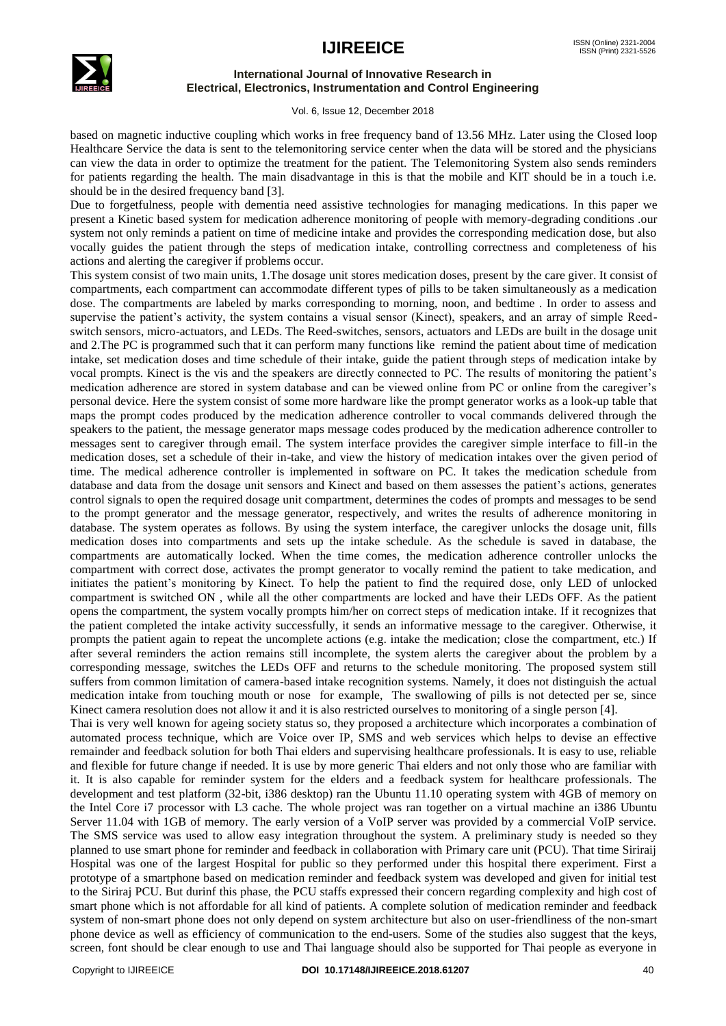

Vol. 6, Issue 12, December 2018

based on magnetic inductive coupling which works in free frequency band of 13.56 MHz. Later using the Closed loop Healthcare Service the data is sent to the telemonitoring service center when the data will be stored and the physicians can view the data in order to optimize the treatment for the patient. The Telemonitoring System also sends reminders for patients regarding the health. The main disadvantage in this is that the mobile and KIT should be in a touch i.e. should be in the desired frequency band [3].

Due to forgetfulness, people with dementia need assistive technologies for managing medications. In this paper we present a Kinetic based system for medication adherence monitoring of people with memory-degrading conditions .our system not only reminds a patient on time of medicine intake and provides the corresponding medication dose, but also vocally guides the patient through the steps of medication intake, controlling correctness and completeness of his actions and alerting the caregiver if problems occur.

This system consist of two main units, 1.The dosage unit stores medication doses, present by the care giver. It consist of compartments, each compartment can accommodate different types of pills to be taken simultaneously as a medication dose. The compartments are labeled by marks corresponding to morning, noon, and bedtime . In order to assess and supervise the patient's activity, the system contains a visual sensor (Kinect), speakers, and an array of simple Reedswitch sensors, micro-actuators, and LEDs. The Reed-switches, sensors, actuators and LEDs are built in the dosage unit and 2.The PC is programmed such that it can perform many functions like remind the patient about time of medication intake, set medication doses and time schedule of their intake, guide the patient through steps of medication intake by vocal prompts. Kinect is the vis and the speakers are directly connected to PC. The results of monitoring the patient's medication adherence are stored in system database and can be viewed online from PC or online from the caregiver's personal device. Here the system consist of some more hardware like the prompt generator works as a look-up table that maps the prompt codes produced by the medication adherence controller to vocal commands delivered through the speakers to the patient, the message generator maps message codes produced by the medication adherence controller to messages sent to caregiver through email. The system interface provides the caregiver simple interface to fill-in the medication doses, set a schedule of their in-take, and view the history of medication intakes over the given period of time. The medical adherence controller is implemented in software on PC. It takes the medication schedule from database and data from the dosage unit sensors and Kinect and based on them assesses the patient's actions, generates control signals to open the required dosage unit compartment, determines the codes of prompts and messages to be send to the prompt generator and the message generator, respectively, and writes the results of adherence monitoring in database. The system operates as follows. By using the system interface, the caregiver unlocks the dosage unit, fills medication doses into compartments and sets up the intake schedule. As the schedule is saved in database, the compartments are automatically locked. When the time comes, the medication adherence controller unlocks the compartment with correct dose, activates the prompt generator to vocally remind the patient to take medication, and initiates the patient's monitoring by Kinect. To help the patient to find the required dose, only LED of unlocked compartment is switched ON , while all the other compartments are locked and have their LEDs OFF. As the patient opens the compartment, the system vocally prompts him/her on correct steps of medication intake. If it recognizes that the patient completed the intake activity successfully, it sends an informative message to the caregiver. Otherwise, it prompts the patient again to repeat the uncomplete actions (e.g. intake the medication; close the compartment, etc.) If after several reminders the action remains still incomplete, the system alerts the caregiver about the problem by a corresponding message, switches the LEDs OFF and returns to the schedule monitoring. The proposed system still suffers from common limitation of camera-based intake recognition systems. Namely, it does not distinguish the actual medication intake from touching mouth or nose for example, The swallowing of pills is not detected per se, since Kinect camera resolution does not allow it and it is also restricted ourselves to monitoring of a single person [4].

Thai is very well known for ageing society status so, they proposed a architecture which incorporates a combination of automated process technique, which are Voice over IP, SMS and web services which helps to devise an effective remainder and feedback solution for both Thai elders and supervising healthcare professionals. It is easy to use, reliable and flexible for future change if needed. It is use by more generic Thai elders and not only those who are familiar with it. It is also capable for reminder system for the elders and a feedback system for healthcare professionals. The development and test platform (32-bit, i386 desktop) ran the Ubuntu 11.10 operating system with 4GB of memory on the Intel Core i7 processor with L3 cache. The whole project was ran together on a virtual machine an i386 Ubuntu Server 11.04 with 1GB of memory. The early version of a VoIP server was provided by a commercial VoIP service. The SMS service was used to allow easy integration throughout the system. A preliminary study is needed so they planned to use smart phone for reminder and feedback in collaboration with Primary care unit (PCU). That time Siriraij Hospital was one of the largest Hospital for public so they performed under this hospital there experiment. First a prototype of a smartphone based on medication reminder and feedback system was developed and given for initial test to the Siriraj PCU. But durinf this phase, the PCU staffs expressed their concern regarding complexity and high cost of smart phone which is not affordable for all kind of patients. A complete solution of medication reminder and feedback system of non-smart phone does not only depend on system architecture but also on user-friendliness of the non-smart phone device as well as efficiency of communication to the end-users. Some of the studies also suggest that the keys, screen, font should be clear enough to use and Thai language should also be supported for Thai people as everyone in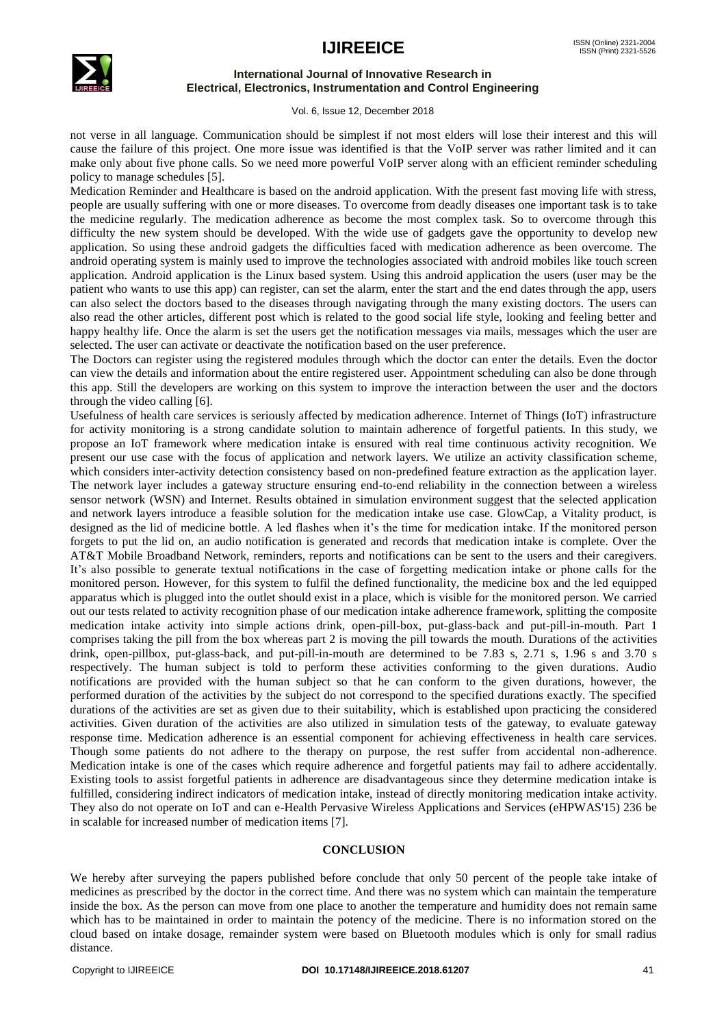

Vol. 6, Issue 12, December 2018

not verse in all language. Communication should be simplest if not most elders will lose their interest and this will cause the failure of this project. One more issue was identified is that the VoIP server was rather limited and it can make only about five phone calls. So we need more powerful VoIP server along with an efficient reminder scheduling policy to manage schedules [5].

Medication Reminder and Healthcare is based on the android application. With the present fast moving life with stress, people are usually suffering with one or more diseases. To overcome from deadly diseases one important task is to take the medicine regularly. The medication adherence as become the most complex task. So to overcome through this difficulty the new system should be developed. With the wide use of gadgets gave the opportunity to develop new application. So using these android gadgets the difficulties faced with medication adherence as been overcome. The android operating system is mainly used to improve the technologies associated with android mobiles like touch screen application. Android application is the Linux based system. Using this android application the users (user may be the patient who wants to use this app) can register, can set the alarm, enter the start and the end dates through the app, users can also select the doctors based to the diseases through navigating through the many existing doctors. The users can also read the other articles, different post which is related to the good social life style, looking and feeling better and happy healthy life. Once the alarm is set the users get the notification messages via mails, messages which the user are selected. The user can activate or deactivate the notification based on the user preference.

The Doctors can register using the registered modules through which the doctor can enter the details. Even the doctor can view the details and information about the entire registered user. Appointment scheduling can also be done through this app. Still the developers are working on this system to improve the interaction between the user and the doctors through the video calling [6].

Usefulness of health care services is seriously affected by medication adherence. Internet of Things (IoT) infrastructure for activity monitoring is a strong candidate solution to maintain adherence of forgetful patients. In this study, we propose an IoT framework where medication intake is ensured with real time continuous activity recognition. We present our use case with the focus of application and network layers. We utilize an activity classification scheme, which considers inter-activity detection consistency based on non-predefined feature extraction as the application layer. The network layer includes a gateway structure ensuring end-to-end reliability in the connection between a wireless sensor network (WSN) and Internet. Results obtained in simulation environment suggest that the selected application and network layers introduce a feasible solution for the medication intake use case. GlowCap, a Vitality product, is designed as the lid of medicine bottle. A led flashes when it's the time for medication intake. If the monitored person forgets to put the lid on, an audio notification is generated and records that medication intake is complete. Over the AT&T Mobile Broadband Network, reminders, reports and notifications can be sent to the users and their caregivers. It's also possible to generate textual notifications in the case of forgetting medication intake or phone calls for the monitored person. However, for this system to fulfil the defined functionality, the medicine box and the led equipped apparatus which is plugged into the outlet should exist in a place, which is visible for the monitored person. We carried out our tests related to activity recognition phase of our medication intake adherence framework, splitting the composite medication intake activity into simple actions drink, open-pill-box, put-glass-back and put-pill-in-mouth. Part 1 comprises taking the pill from the box whereas part 2 is moving the pill towards the mouth. Durations of the activities drink, open-pillbox, put-glass-back, and put-pill-in-mouth are determined to be 7.83 s, 2.71 s, 1.96 s and 3.70 s respectively. The human subject is told to perform these activities conforming to the given durations. Audio notifications are provided with the human subject so that he can conform to the given durations, however, the performed duration of the activities by the subject do not correspond to the specified durations exactly. The specified durations of the activities are set as given due to their suitability, which is established upon practicing the considered activities. Given duration of the activities are also utilized in simulation tests of the gateway, to evaluate gateway response time. Medication adherence is an essential component for achieving effectiveness in health care services. Though some patients do not adhere to the therapy on purpose, the rest suffer from accidental non-adherence. Medication intake is one of the cases which require adherence and forgetful patients may fail to adhere accidentally. Existing tools to assist forgetful patients in adherence are disadvantageous since they determine medication intake is fulfilled, considering indirect indicators of medication intake, instead of directly monitoring medication intake activity. They also do not operate on IoT and can e-Health Pervasive Wireless Applications and Services (eHPWAS'15) 236 be in scalable for increased number of medication items [7].

#### **CONCLUSION**

We hereby after surveying the papers published before conclude that only 50 percent of the people take intake of medicines as prescribed by the doctor in the correct time. And there was no system which can maintain the temperature inside the box. As the person can move from one place to another the temperature and humidity does not remain same which has to be maintained in order to maintain the potency of the medicine. There is no information stored on the cloud based on intake dosage, remainder system were based on Bluetooth modules which is only for small radius distance.